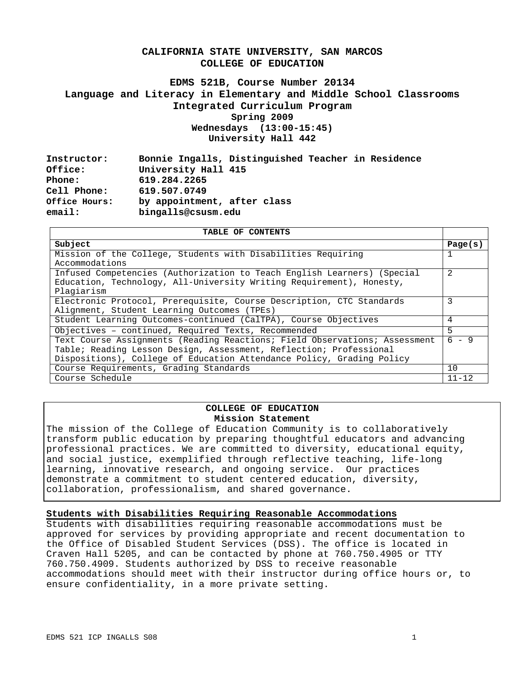# **CALIFORNIA STATE UNIVERSITY, SAN MARCOS COLLEGE OF EDUCATION**

# **EDMS 521B, Course Number 20134 Language and Literacy in Elementary and Middle School Classrooms Integrated Curriculum Program Spring 2009 Wednesdays (13:00-15:45) University Hall 442**

| Instructor:   | Bonnie Ingalls, Distinguished Teacher in Residence |  |  |
|---------------|----------------------------------------------------|--|--|
| Office:       | University Hall 415                                |  |  |
| Phone:        | 619.284.2265                                       |  |  |
| Cell Phone:   | 619.507.0749                                       |  |  |
| Office Hours: | by appointment, after class                        |  |  |
| email:        | bingalls@csusm.edu                                 |  |  |

| TABLE OF CONTENTS                                                          |           |  |
|----------------------------------------------------------------------------|-----------|--|
| Subject                                                                    | Page(s)   |  |
| Mission of the College, Students with Disabilities Requiring               |           |  |
| Accommodations                                                             |           |  |
| Infused Competencies (Authorization to Teach English Learners) (Special    | 2         |  |
| Education, Technology, All-University Writing Requirement), Honesty,       |           |  |
| Plagiarism                                                                 |           |  |
| Electronic Protocol, Prerequisite, Course Description, CTC Standards       | 3         |  |
| Alignment, Student Learning Outcomes (TPEs)                                |           |  |
| Student Learning Outcomes-continued (CalTPA), Course Objectives            |           |  |
| Objectives - continued, Required Texts, Recommended                        | 5         |  |
| Text Course Assignments (Reading Reactions; Field Observations; Assessment |           |  |
| Table; Reading Lesson Design, Assessment, Reflection; Professional         |           |  |
| Dispositions), College of Education Attendance Policy, Grading Policy      |           |  |
| Course Requirements, Grading Standards                                     |           |  |
| Course Schedule                                                            | $11 - 12$ |  |

## **COLLEGE OF EDUCATION Mission Statement**

The mission of the College of Education Community is to collaboratively transform public education by preparing thoughtful educators and advancing professional practices. We are committed to diversity, educational equity, and social justice, exemplified through reflective teaching, life-long learning, innovative research, and ongoing service. Our practices demonstrate a commitment to student centered education, diversity, collaboration, professionalism, and shared governance.

### **Students with Disabilities Requiring Reasonable Accommodations**

Students with disabilities requiring reasonable accommodations must be approved for services by providing appropriate and recent documentation to the Office of Disabled Student Services (DSS). The office is located in Craven Hall 5205, and can be contacted by phone at 760.750.4905 or TTY 760.750.4909. Students authorized by DSS to receive reasonable accommodations should meet with their instructor during office hours or, to ensure confidentiality, in a more private setting.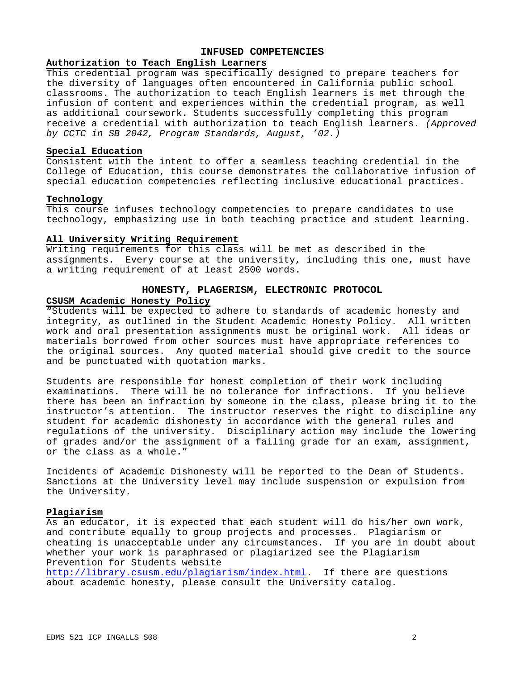## **INFUSED COMPETENCIES**

# **Authorization to Teach English Learners**

This credential program was specifically designed to prepare teachers for the diversity of languages often encountered in California public school classrooms. The authorization to teach English learners is met through the infusion of content and experiences within the credential program, as well as additional coursework. Students successfully completing this program receive a credential with authorization to teach English learners. *(Approved by CCTC in SB 2042, Program Standards, August, '02.)* 

#### **Special Education**

Consistent with the intent to offer a seamless teaching credential in the College of Education, this course demonstrates the collaborative infusion of special education competencies reflecting inclusive educational practices.

## **Technology**

This course infuses technology competencies to prepare candidates to use technology, emphasizing use in both teaching practice and student learning.

### **All University Writing Requirement**

Writing requirements for this class will be met as described in the assignments. Every course at the university, including this one, must have a writing requirement of at least 2500 words.

## **HONESTY, PLAGERISM, ELECTRONIC PROTOCOL CSUSM Academic Honesty Policy**

"Students will be expected to adhere to standards of academic honesty and integrity, as outlined in the Student Academic Honesty Policy. All written work and oral presentation assignments must be original work. All ideas or materials borrowed from other sources must have appropriate references to the original sources. Any quoted material should give credit to the source and be punctuated with quotation marks.

Students are responsible for honest completion of their work including examinations. There will be no tolerance for infractions. If you believe there has been an infraction by someone in the class, please bring it to the instructor's attention. The instructor reserves the right to discipline any student for academic dishonesty in accordance with the general rules and regulations of the university. Disciplinary action may include the lowering of grades and/or the assignment of a failing grade for an exam, assignment, or the class as a whole."

Incidents of Academic Dishonesty will be reported to the Dean of Students. Sanctions at the University level may include suspension or expulsion from the University.

### **Plagiarism**

As an educator, it is expected that each student will do his/her own work, and contribute equally to group projects and processes. Plagiarism or cheating is unacceptable under any circumstances. If you are in doubt about whether your work is paraphrased or plagiarized see the Plagiarism Prevention for Students website

http://library.csusm.edu/plagiarism/index.html. If there are questions about academic honesty, please consult the University catalog.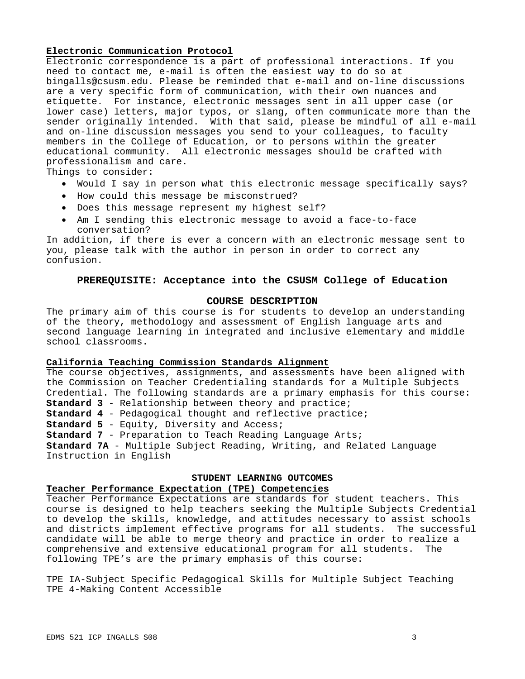#### **Electronic Communication Protocol**

Electronic correspondence is a part of professional interactions. If you need to contact me, e-mail is often the easiest way to do so at bingalls@csusm.edu. Please be reminded that e-mail and on-line discussions are a very specific form of communication, with their own nuances and etiquette. For instance, electronic messages sent in all upper case (or lower case) letters, major typos, or slang, often communicate more than the sender originally intended. With that said, please be mindful of all e-mail and on-line discussion messages you send to your colleagues, to faculty members in the College of Education, or to persons within the greater educational community. All electronic messages should be crafted with professionalism and care.

Things to consider:

- Would I say in person what this electronic message specifically says?
- How could this message be misconstrued?
- Does this message represent my highest self?
- Am I sending this electronic message to avoid a face-to-face conversation?

In addition, if there is ever a concern with an electronic message sent to you, please talk with the author in person in order to correct any confusion.

#### **PREREQUISITE: Acceptance into the CSUSM College of Education**

### **COURSE DESCRIPTION**

The primary aim of this course is for students to develop an understanding of the theory, methodology and assessment of English language arts and second language learning in integrated and inclusive elementary and middle school classrooms.

#### **California Teaching Commission Standards Alignment**

The course objectives, assignments, and assessments have been aligned with the Commission on Teacher Credentialing standards for a Multiple Subjects Credential. The following standards are a primary emphasis for this course: **Standard 3** - Relationship between theory and practice; **Standard 4** - Pedagogical thought and reflective practice; **Standard 5** - Equity, Diversity and Access; **Standard 7** - Preparation to Teach Reading Language Arts; **Standard 7A** - Multiple Subject Reading, Writing, and Related Language Instruction in English

**STUDENT LEARNING OUTCOMES** 

#### **Teacher Performance Expectation (TPE) Competencies**

Teacher Performance Expectations are standards for student teachers. This course is designed to help teachers seeking the Multiple Subjects Credential to develop the skills, knowledge, and attitudes necessary to assist schools and districts implement effective programs for all students. The successful candidate will be able to merge theory and practice in order to realize a comprehensive and extensive educational program for all students. The following TPE's are the primary emphasis of this course:

TPE 4-Making Content Accessible TPE IA-Subject Specific Pedagogical Skills for Multiple Subject Teaching TPE 4-Making Content Accessible<br>EDMS 521 ICP INGALLS S08 3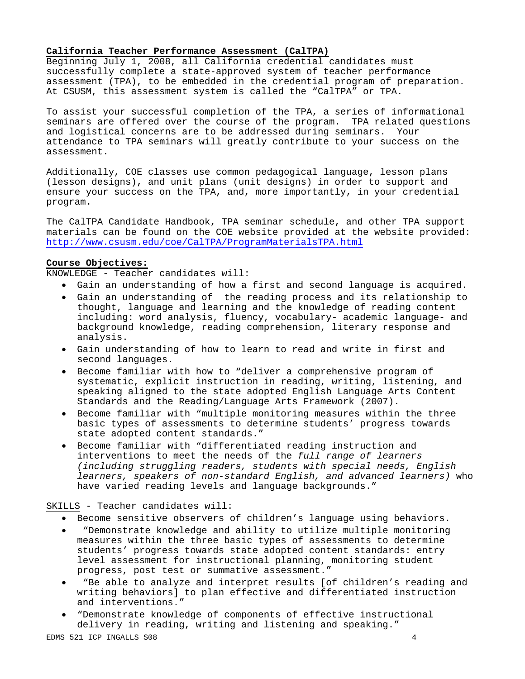#### **California Teacher Performance Assessment (CalTPA)**

Beginning July 1, 2008, all California credential candidates must successfully complete a state-approved system of teacher performance assessment (TPA), to be embedded in the credential program of preparation. At CSUSM, this assessment system is called the "CalTPA" or TPA.

To assist your successful completion of the TPA, a series of informational seminars are offered over the course of the program. TPA related questions and logistical concerns are to be addressed during seminars. Your attendance to TPA seminars will greatly contribute to your success on the assessment.

Additionally, COE classes use common pedagogical language, lesson plans (lesson designs), and unit plans (unit designs) in order to support and ensure your success on the TPA, and, more importantly, in your credential program.

 http://www.csusm.edu/coe/CalTPA/ProgramMaterialsTPA.html The CalTPA Candidate Handbook, TPA seminar schedule, and other TPA support materials can be found on the COE website provided at the website provided:

## **Course Objectives:**

KNOWLEDGE - Teacher candidates will:

- Gain an understanding of how a first and second language is acquired.
- • Gain an understanding of the reading process and its relationship to thought, language and learning and the knowledge of reading content including: word analysis, fluency, vocabulary- academic language- and background knowledge, reading comprehension, literary response and analysis.
- • Gain understanding of how to learn to read and write in first and second languages.
- • Become familiar with how to "deliver a comprehensive program of systematic, explicit instruction in reading, writing, listening, and speaking aligned to the state adopted English Language Arts Content Standards and the Reading/Language Arts Framework (2007).
- • Become familiar with "multiple monitoring measures within the three basic types of assessments to determine students' progress towards state adopted content standards."
- • Become familiar with "differentiated reading instruction and interventions to meet the needs of the *full range of learners (including struggling readers, students with special needs, English learners, speakers of non-standard English, and advanced learners)* who have varied reading levels and language backgrounds."

### SKILLS - Teacher candidates will:

- • Become sensitive observers of children's language using behaviors.
- "Demonstrate knowledge and ability to utilize multiple monitoring measures within the three basic types of assessments to determine students' progress towards state adopted content standards: entry level assessment for instructional planning, monitoring student progress, post test or summative assessment."
- "Be able to analyze and interpret results [of children's reading and writing behaviors] to plan effective and differentiated instruction and interventions."
- • "Demonstrate knowledge of components of effective instructional delivery in reading, writing and listening and speaking."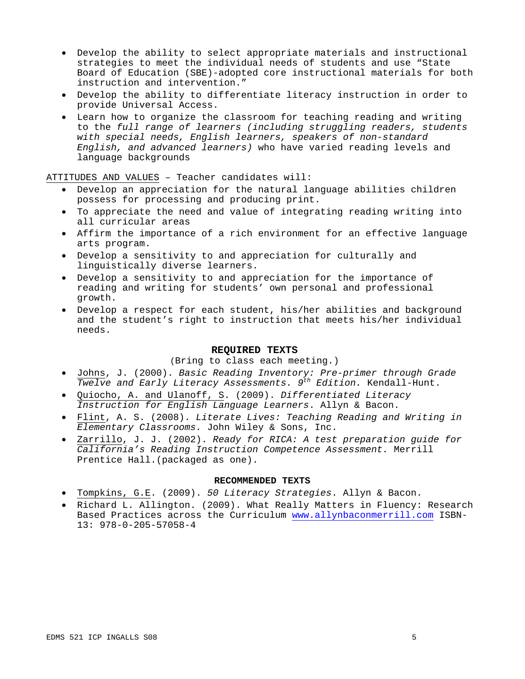- • Develop the ability to select appropriate materials and instructional strategies to meet the individual needs of students and use "State Board of Education (SBE)-adopted core instructional materials for both instruction and intervention."
- • Develop the ability to differentiate literacy instruction in order to provide Universal Access.
- • Learn how to organize the classroom for teaching reading and writing to the *full range of learners (including struggling readers, students with special needs, English learners, speakers of non-standard English, and advanced learners)* who have varied reading levels and language backgrounds

ATTITUDES AND VALUES – Teacher candidates will:

- • Develop an appreciation for the natural language abilities children possess for processing and producing print.
- • To appreciate the need and value of integrating reading writing into all curricular areas
- • Affirm the importance of a rich environment for an effective language arts program.
- • Develop a sensitivity to and appreciation for culturally and linguistically diverse learners.
- • Develop a sensitivity to and appreciation for the importance of reading and writing for students' own personal and professional growth.
- • Develop a respect for each student, his/her abilities and background and the student's right to instruction that meets his/her individual needs.

#### **REQUIRED TEXTS**

### (Bring to class each meeting.)

- • Johns, J. (2000). *Basic Reading Inventory: Pre-primer through Grade Twelve and Early Literacy Assessments. 9th Edition.* Kendall-Hunt.
- • Quiocho, A. and Ulanoff, S. (2009). *Differentiated Literacy Instruction for English Language Learners*. Allyn & Bacon.
- • Flint, A. S. (2008). *Literate Lives: Teaching Reading and Writing in Elementary Classrooms.* John Wiley & Sons, Inc.
- • Zarrillo, J. J. (2002). *Ready for RICA: A test preparation guide for California's Reading Instruction Competence Assessment.* Merrill Prentice Hall.(packaged as one).

# **RECOMMENDED TEXTS**

- • Tompkins, G.E. (2009). *50 Literacy Strategies*. Allyn & Bacon.
- • Richard L. Allington. (2009). What Really Matters in Fluency: Research Based Practices across the Curriculum www.allynbaconmerrill.com ISBN-13: 978-0-205-57058-4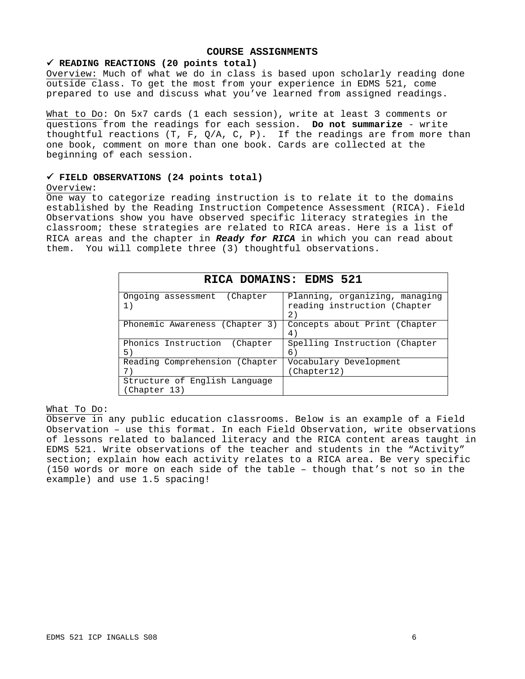### **COURSE ASSIGNMENTS**

#### 9 **READING REACTIONS (20 points total)**

Overview: Much of what we do in class is based upon scholarly reading done outside class. To get the most from your experience in EDMS 521, come prepared to use and discuss what you've learned from assigned readings.

What to Do: On 5x7 cards (1 each session), write at least 3 comments or questions from the readings for each session. **Do not summarize** - write thoughtful reactions (T, F,  $Q/A$ , C, P). If the readings are from more than one book, comment on more than one book. Cards are collected at the beginning of each session.

# 9 **FIELD OBSERVATIONS (24 points total)**

#### Overview:

One way to categorize reading instruction is to relate it to the domains established by the Reading Instruction Competence Assessment (RICA). Field Observations show you have observed specific literacy strategies in the classroom; these strategies are related to RICA areas. Here is a list of RICA areas and the chapter in *Ready for RICA* in which you can read about them. You will complete three (3) thoughtful observations.

| RICA DOMAINS: EDMS 521                        |                                                                      |  |  |  |
|-----------------------------------------------|----------------------------------------------------------------------|--|--|--|
| Ongoing assessment (Chapter<br>1)             | Planning, organizing, managing<br>reading instruction (Chapter<br>2) |  |  |  |
| Phonemic Awareness (Chapter 3)                | Concepts about Print (Chapter<br>4)                                  |  |  |  |
| Phonics Instruction<br>(Chapter)<br>5)        | Spelling Instruction (Chapter<br>6)                                  |  |  |  |
| Reading Comprehension (Chapter<br>7)          | Vocabulary Development<br>(Chapter12)                                |  |  |  |
| Structure of English Language<br>(Chapter 13) |                                                                      |  |  |  |

## What To Do:

example) and use 1.5 spacing! Observe in any public education classrooms. Below is an example of a Field Observation – use this format. In each Field Observation, write observations of lessons related to balanced literacy and the RICA content areas taught in EDMS 521. Write observations of the teacher and students in the "Activity" section; explain how each activity relates to a RICA area. Be very specific (150 words or more on each side of the table – though that's not so in the example) and use 1.5 spacing!<br>  $EDMS 521 \; \text{ICP INGALLS} \; \text{S08} \tag{6}$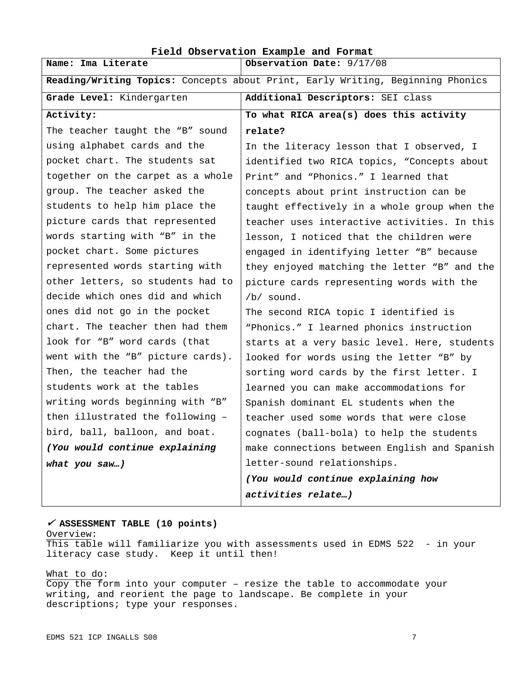| Field Observation Example and Format                                           |                                              |  |  |  |
|--------------------------------------------------------------------------------|----------------------------------------------|--|--|--|
| Name: Ima Literate                                                             | Observation Date: 9/17/08                    |  |  |  |
| Reading/Writing Topics: Concepts about Print, Early Writing, Beginning Phonics |                                              |  |  |  |
| Grade Level: Kindergarten                                                      | Additional Descriptors: SEI class            |  |  |  |
| Activity:                                                                      | To what RICA area(s) does this activity      |  |  |  |
| The teacher taught the "B" sound                                               | relate?                                      |  |  |  |
| using alphabet cards and the                                                   | In the literacy lesson that I observed, I    |  |  |  |
| pocket chart. The students sat                                                 | identified two RICA topics, "Concepts about  |  |  |  |
| together on the carpet as a whole                                              | Print" and "Phonics." I learned that         |  |  |  |
| group. The teacher asked the                                                   | concepts about print instruction can be      |  |  |  |
| students to help him place the                                                 | taught effectively in a whole group when the |  |  |  |
| picture cards that represented                                                 | teacher uses interactive activities. In this |  |  |  |
| words starting with "B" in the                                                 | lesson, I noticed that the children were     |  |  |  |
| pocket chart. Some pictures                                                    | engaged in identifying letter "B" because    |  |  |  |
| represented words starting with                                                | they enjoyed matching the letter "B" and the |  |  |  |
| other letters, so students had to                                              | picture cards representing words with the    |  |  |  |
| decide which ones did and which                                                | $/b/$ sound.                                 |  |  |  |
| ones did not go in the pocket                                                  | The second RICA topic I identified is        |  |  |  |
| chart. The teacher then had them                                               | "Phonics." I learned phonics instruction     |  |  |  |
| look for "B" word cards (that                                                  | starts at a very basic level. Here, students |  |  |  |
| went with the "B" picture cards).                                              | looked for words using the letter "B" by     |  |  |  |
| Then, the teacher had the                                                      | sorting word cards by the first letter. I    |  |  |  |
| students work at the tables                                                    | learned you can make accommodations for      |  |  |  |
| writing words beginning with "B"                                               | Spanish dominant EL students when the        |  |  |  |
| then illustrated the following -                                               | teacher used some words that were close      |  |  |  |
| bird, ball, balloon, and boat.                                                 | cognates (ball-bola) to help the students    |  |  |  |
| (You would continue explaining                                                 | make connections between English and Spanish |  |  |  |
| what you saw)                                                                  | letter-sound relationships.                  |  |  |  |
|                                                                                | (You would continue explaining how           |  |  |  |
|                                                                                | activities relate)                           |  |  |  |

## <sup>9</sup> **ASSESSMENT TABLE (10 points)**

Overview: This table will familiarize you with assessments used in EDMS 522 - in your literacy case study. Keep it until then!

### What to do:

Copy the form into your computer – resize the table to accommodate your writing, and reorient the page to landscape. Be complete in your descriptions; type your responses.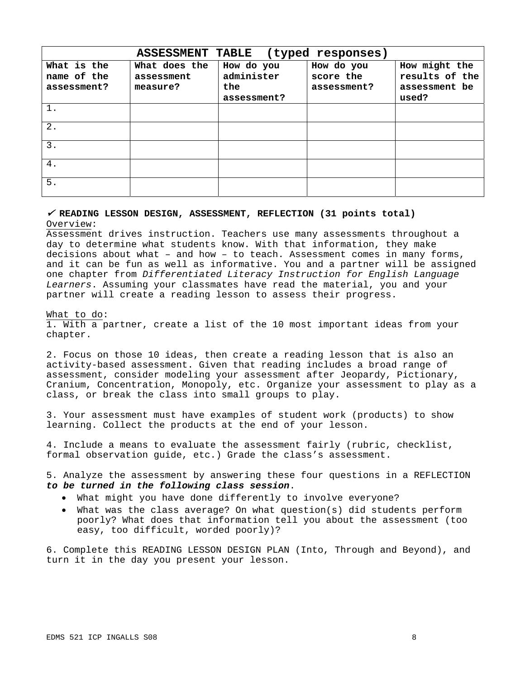|                                           | <b>ASSESSMENT TABLE</b>                 |                                                | (typed responses)                      |                                                           |
|-------------------------------------------|-----------------------------------------|------------------------------------------------|----------------------------------------|-----------------------------------------------------------|
| What is the<br>name of the<br>assessment? | What does the<br>assessment<br>measure? | How do you<br>administer<br>the<br>assessment? | How do you<br>score the<br>assessment? | How might the<br>results of the<br>assessment be<br>used? |
| 1.                                        |                                         |                                                |                                        |                                                           |
| $2$ .                                     |                                         |                                                |                                        |                                                           |
| 3.                                        |                                         |                                                |                                        |                                                           |
| 4.                                        |                                         |                                                |                                        |                                                           |
| 5.                                        |                                         |                                                |                                        |                                                           |

## <sup>9</sup>  **READING LESSON DESIGN, ASSESSMENT, REFLECTION (31 points total)**  Overview:

Assessment drives instruction. Teachers use many assessments throughout a day to determine what students know. With that information, they make decisions about what – and how – to teach. Assessment comes in many forms, and it can be fun as well as informative. You and a partner will be assigned one chapter from *Differentiated Literacy Instruction for English Language Learners*. Assuming your classmates have read the material, you and your partner will create a reading lesson to assess their progress.

#### What to do:

1. With a partner, create a list of the 10 most important ideas from your chapter.

2. Focus on those 10 ideas, then create a reading lesson that is also an activity-based assessment. Given that reading includes a broad range of assessment, consider modeling your assessment after Jeopardy, Pictionary, Cranium, Concentration, Monopoly, etc. Organize your assessment to play as a class, or break the class into small groups to play.

3. Your assessment must have examples of student work (products) to show learning. Collect the products at the end of your lesson.

4. Include a means to evaluate the assessment fairly (rubric, checklist, formal observation guide, etc.) Grade the class's assessment.

5. Analyze the assessment by answering these four questions in a REFLECTION *to be turned in the following class session*.

- • What might you have done differently to involve everyone?
- • What was the class average? On what question(s) did students perform poorly? What does that information tell you about the assessment (too easy, too difficult, worded poorly)?

6. Complete this READING LESSON DESIGN PLAN (Into, Through and Beyond), and turn it in the day you present your lesson.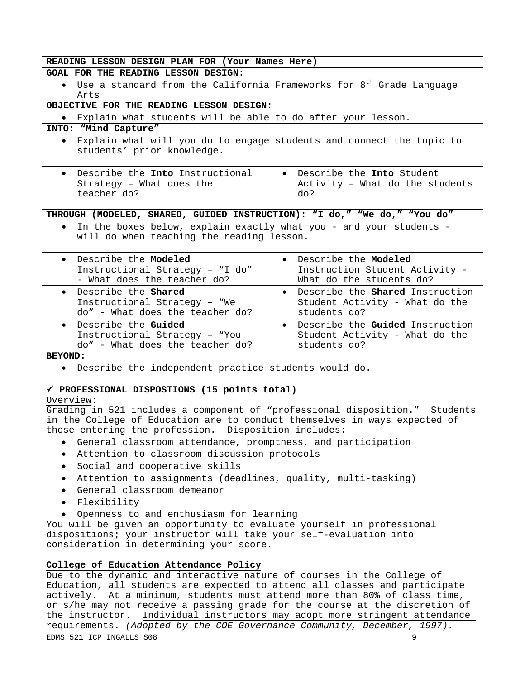| READING LESSON DESIGN PLAN FOR (Your Names Here)                                                                |                                                                       |  |  |  |  |
|-----------------------------------------------------------------------------------------------------------------|-----------------------------------------------------------------------|--|--|--|--|
| GOAL FOR THE READING LESSON DESIGN:                                                                             |                                                                       |  |  |  |  |
| • Use a standard from the California Frameworks for $8^{\text{th}}$ Grade Language                              |                                                                       |  |  |  |  |
| Arts                                                                                                            |                                                                       |  |  |  |  |
| OBJECTIVE FOR THE READING LESSON DESIGN:                                                                        |                                                                       |  |  |  |  |
| Explain what students will be able to do after your lesson.<br>$\bullet$                                        |                                                                       |  |  |  |  |
| INTO: "Mind Capture"                                                                                            |                                                                       |  |  |  |  |
| Explain what will you do to engage students and connect the topic to<br>students' prior knowledge.              |                                                                       |  |  |  |  |
| • Describe the Into Instructional<br>Strategy - What does the<br>teacher do?                                    | • Describe the Into Student<br>Activity - What do the students<br>do? |  |  |  |  |
| THROUGH (MODELED, SHARED, GUIDED INSTRUCTION): "I do," "We do," "You do"                                        |                                                                       |  |  |  |  |
| In the boxes below, explain exactly what you - and your students -<br>will do when teaching the reading lesson. |                                                                       |  |  |  |  |
| • Describe the Modeled                                                                                          | • Describe the Modeled                                                |  |  |  |  |
| Instructional Strategy - "I do"<br>- What does the teacher do?                                                  | Instruction Student Activity -<br>What do the students do?            |  |  |  |  |
| • Describe the Shared                                                                                           | • Describe the Shared Instruction                                     |  |  |  |  |
| Instructional Strategy - "We                                                                                    | Student Activity - What do the                                        |  |  |  |  |
| do" - What does the teacher do?                                                                                 | students do?                                                          |  |  |  |  |
| Describe the Guided<br>$\bullet$                                                                                | • Describe the Guided Instruction                                     |  |  |  |  |
| Instructional Strategy - "You                                                                                   | Student Activity - What do the                                        |  |  |  |  |
| do" - What does the teacher do?                                                                                 | students do?                                                          |  |  |  |  |
| <b>BEYOND:</b>                                                                                                  |                                                                       |  |  |  |  |
| • Describe the independent practice students would do.                                                          |                                                                       |  |  |  |  |

# 9  **PROFESSIONAL DISPOSTIONS (15 points total)**

### Overview:

Grading in 521 includes a component of "professional disposition." Students in the College of Education are to conduct themselves in ways expected of those entering the profession. Disposition includes:

- General classroom attendance, promptness, and participation
- Attention to classroom discussion protocols
- Social and cooperative skills
- Attention to assignments (deadlines, quality, multi-tasking)
- General classroom demeanor
- Flexibility
- Openness to and enthusiasm for learning

You will be given an opportunity to evaluate yourself in professional dispositions; your instructor will take your self-evaluation into consideration in determining your score.

## **College of Education Attendance Policy**

Due to the dynamic and interactive nature of courses in the College of Education, all students are expected to attend all classes and participate actively. At a minimum, students must attend more than 80% of class time, or s/he may not receive a passing grade for the course at the discretion of the instructor. Individual instructors may adopt more stringent attendance requirements. *(Adopted by the COE Governance Community, December, 1997).*  EDMS 521 ICP INGALLS S08 9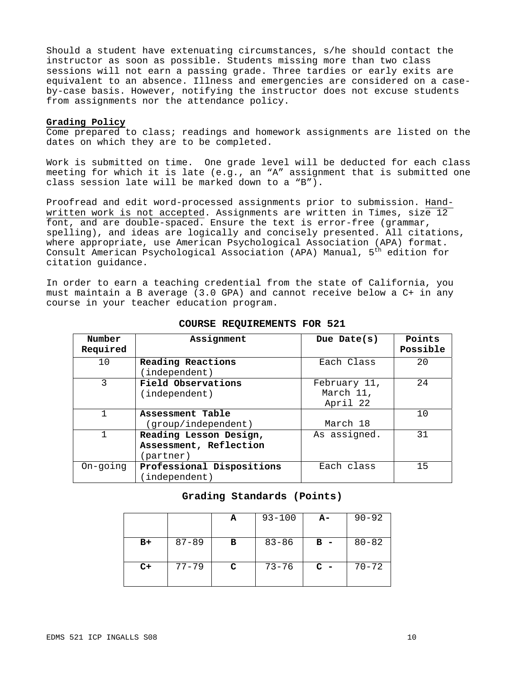Should a student have extenuating circumstances, s/he should contact the instructor as soon as possible. Students missing more than two class sessions will not earn a passing grade. Three tardies or early exits are equivalent to an absence. Illness and emergencies are considered on a caseby-case basis. However, notifying the instructor does not excuse students from assignments nor the attendance policy.

## **Grading Policy**

Come prepared to class; readings and homework assignments are listed on the dates on which they are to be completed.

Work is submitted on time. One grade level will be deducted for each class meeting for which it is late (e.g., an "A" assignment that is submitted one class session late will be marked down to a "B").

Proofread and edit word-processed assignments prior to submission. Handwritten work is not accepted. Assignments are written in Times, size 12 font, and are double-spaced. Ensure the text is error-free (grammar, spelling), and ideas are logically and concisely presented. All citations, where appropriate, use American Psychological Association (APA) format. Consult American Psychological Association (APA) Manual, 5<sup>th</sup> edition for citation guidance.

In order to earn a teaching credential from the state of California, you must maintain a B average (3.0 GPA) and cannot receive below a C+ in any course in your teacher education program.

| Number<br>Required | Assignment                | Due Date(s)  | Points<br>Possible |
|--------------------|---------------------------|--------------|--------------------|
| 10                 | Reading Reactions         | Each Class   | 20                 |
|                    | (independent)             |              |                    |
| 3                  | Field Observations        | February 11, | 2.4                |
|                    | (independent)             | March 11,    |                    |
|                    |                           | April 22     |                    |
|                    | Assessment Table          |              | 10                 |
|                    | (group/independent)       | March 18     |                    |
|                    | Reading Lesson Design,    | As assigned. | 31                 |
|                    | Assessment, Reflection    |              |                    |
|                    | (partner)                 |              |                    |
| On-going           | Professional Dispositions | Each class   | 15                 |
|                    | independent)              |              |                    |

#### **COURSE REQUIREMENTS FOR 521**

#### **Grading Standards (Points)**

|      |           | А | $93 - 100$ | A-    | $90 - 92$ |
|------|-----------|---|------------|-------|-----------|
| B+   | $87 - 89$ | в | $83 - 86$  | $B -$ | $80 - 82$ |
| $C+$ | $77 - 79$ | C | $73 - 76$  | $C -$ | $70 - 72$ |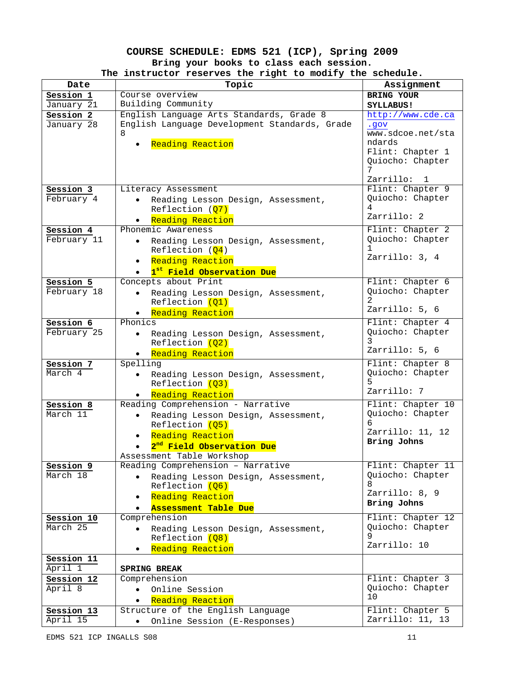# **COURSE SCHEDULE: EDMS 521 (ICP), Spring 2009 Bring your books to class each session. The instructor reserves the right to modify the schedule.**

| Date                     | Topic                                                              | Assignment                           |
|--------------------------|--------------------------------------------------------------------|--------------------------------------|
| Session 1                | Course overview                                                    | BRING YOUR                           |
| January 21               | Building Community                                                 | SYLLABUS!                            |
| Session 2                | English Language Arts Standards, Grade 8                           | http://www.cde.ca                    |
| January 28               | English Language Development Standards, Grade<br>8                 | vop.<br>www.sdcoe.net/sta            |
|                          |                                                                    | ndards                               |
|                          | Reading Reaction                                                   | Flint: Chapter 1                     |
|                          |                                                                    | Quiocho: Chapter                     |
|                          |                                                                    | 7                                    |
|                          |                                                                    | Zarrillo:<br>$\overline{1}$          |
| Session 3                | Literacy Assessment                                                | Flint: Chapter 9                     |
| February 4               | Reading Lesson Design, Assessment,                                 | Quiocho: Chapter<br>4                |
|                          | Reflection (Q7)                                                    | Zarrillo: 2                          |
|                          | Reading Reaction<br>Phonemic Awareness                             | Flint: Chapter 2                     |
| Session 4<br>February 11 | Reading Lesson Design, Assessment,<br>$\bullet$                    | Quiocho: Chapter                     |
|                          | Reflection $(Q4)$                                                  | $\mathbf{1}$                         |
|                          | Reading Reaction<br>$\bullet$                                      | Zarrillo: 3, 4                       |
|                          | 1 <sup>st</sup> Field Observation Due                              |                                      |
| Session 5                | Concepts about Print                                               | Flint: Chapter 6                     |
| February 18              | Reading Lesson Design, Assessment,                                 | Quiocho: Chapter                     |
|                          | Reflection (01)                                                    |                                      |
|                          | Reading Reaction                                                   | Zarrillo: 5, 6                       |
| Session 6                | Phonics                                                            | Flint: Chapter 4                     |
| February 25              | Reading Lesson Design, Assessment,<br>$\bullet$                    | Quiocho: Chapter                     |
|                          | Reflection (Q2)                                                    | 3<br>Zarrillo: 5, 6                  |
|                          | Reading Reaction                                                   |                                      |
| Session 7<br>March 4     | Spelling                                                           | Flint: Chapter 8<br>Quiocho: Chapter |
|                          | Reading Lesson Design, Assessment,<br>$\bullet$<br>Reflection (Q3) |                                      |
|                          | . Reading Reaction                                                 | Zarrillo: 7                          |
| Session 8                | Reading Comprehension - Narrative                                  | Flint: Chapter 10                    |
| March 11                 | Reading Lesson Design, Assessment,<br>$\bullet$                    | Quiocho: Chapter                     |
|                          | Reflection (Q5)                                                    |                                      |
|                          | Reading Reaction<br>$\bullet$                                      | Zarrillo: 11, 12                     |
|                          | 2 <sup>nd</sup> Field Observation Due                              | Bring Johns                          |
|                          | Assessment Table Workshop                                          |                                      |
| Session 9                | Reading Comprehension - Narrative                                  | Flint: Chapter 11                    |
| March 18                 | Reading Lesson Design, Assessment,                                 | Quiocho: Chapter<br>8                |
|                          | Reflection (Q6)                                                    | Zarrillo: 8, 9                       |
|                          | Reading Reaction<br>$\bullet$<br><b>Assessment Table Due</b>       | Bring Johns                          |
| Session 10               | $\bullet$<br>Comprehension                                         | Flint: Chapter 12                    |
| March 25                 | Reading Lesson Design, Assessment,                                 | Quiocho: Chapter                     |
|                          | Reflection (Q8)                                                    | 9                                    |
|                          | Reading Reaction<br>$\bullet$                                      | Zarrillo: 10                         |
| Session 11               |                                                                    |                                      |
| April 1                  | <b>SPRING BREAK</b>                                                |                                      |
| Session 12               | Comprehension                                                      | Flint: Chapter 3                     |
| April 8                  | Online Session<br>$\bullet$                                        | Quiocho: Chapter                     |
|                          | Reading Reaction                                                   | 10                                   |
| Session 13               | Structure of the English Language                                  | Flint: Chapter 5                     |
| April 15                 | Online Session (E-Responses)<br>$\bullet$                          | Zarrillo: 11, 13                     |